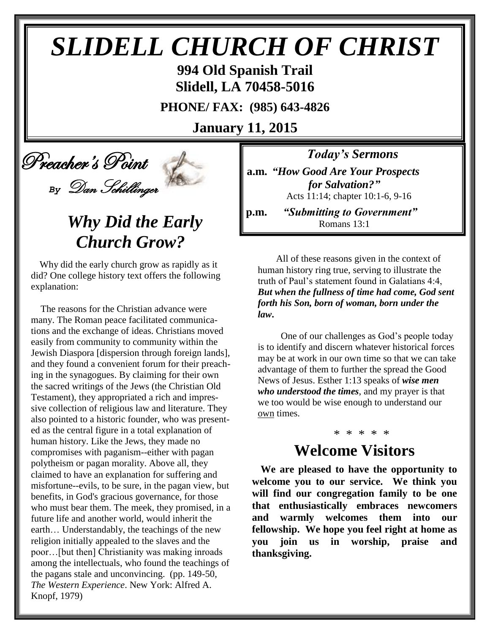# *SLIDELL CHURCH OF CHRIST*

**994 Old Spanish Trail Slidell, LA 70458-5016**

**PHONE/ FAX: (985) 643-4826**

**January 11, 2015**



# *Why Did the Early Church Grow?*

Why did the early church grow as rapidly as it did? One college history text offers the following explanation:

 The reasons for the Christian advance were many. The Roman peace facilitated communications and the exchange of ideas. Christians moved easily from community to community within the Jewish Diaspora [dispersion through foreign lands], and they found a convenient forum for their preaching in the synagogues. By claiming for their own the sacred writings of the Jews (the Christian Old Testament), they appropriated a rich and impressive collection of religious law and literature. They also pointed to a historic founder, who was presented as the central figure in a total explanation of human history. Like the Jews, they made no compromises with paganism--either with pagan polytheism or pagan morality. Above all, they claimed to have an explanation for suffering and misfortune--evils, to be sure, in the pagan view, but benefits, in God's gracious governance, for those who must bear them. The meek, they promised, in a future life and another world, would inherit the earth… Understandably, the teachings of the new religion initially appealed to the slaves and the poor…[but then] Christianity was making inroads among the intellectuals, who found the teachings of the pagans stale and unconvincing. (pp. 149-50, *The Western Experience*. New York: Alfred A. Knopf, 1979)

*Today's Sermons*

**a.m.** *"How Good Are Your Prospects for Salvation?"* Acts 11:14; chapter 10:1-6, 9-16

**p.m.** *"Submitting to Government"* Romans 13:1

 All of these reasons given in the context of human history ring true, serving to illustrate the truth of Paul's statement found in Galatians 4:4, *But when the fullness of time had come, God sent forth his Son, born of woman, born under the law***.** 

 One of our challenges as God's people today is to identify and discern whatever historical forces may be at work in our own time so that we can take advantage of them to further the spread the Good News of Jesus. Esther 1:13 speaks of *wise men who understood the times*, and my prayer is that we too would be wise enough to understand our own times.

### \* \* \* \* \*

### **Welcome Visitors**

**We are pleased to have the opportunity to welcome you to our service. We think you will find our congregation family to be one that enthusiastically embraces newcomers and warmly welcomes them into our fellowship. We hope you feel right at home as you join us in worship, praise and thanksgiving.**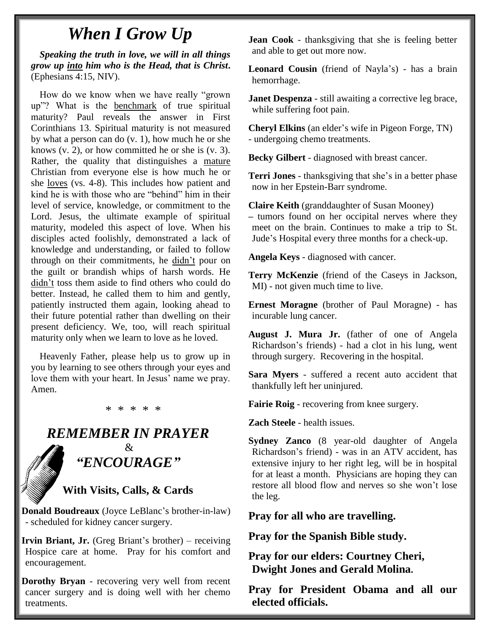### *When I Grow Up*

*Speaking the truth in love, we will in all things grow up into him who is the Head, that is Christ***.**  (Ephesians 4:15, NIV).

How do we know when we have really "grown up"? What is the benchmark of true spiritual maturity? Paul reveals the answer in First Corinthians 13. Spiritual maturity is not measured by what a person can do (v. 1), how much he or she knows  $(v, 2)$ , or how committed he or she is  $(v, 3)$ . Rather, the quality that distinguishes a mature Christian from everyone else is how much he or she loves (vs. 4-8). This includes how patient and kind he is with those who are "behind" him in their level of service, knowledge, or commitment to the Lord. Jesus, the ultimate example of spiritual maturity, modeled this aspect of love. When his disciples acted foolishly, demonstrated a lack of knowledge and understanding, or failed to follow through on their commitments, he didn't pour on the guilt or brandish whips of harsh words. He didn't toss them aside to find others who could do better. Instead, he called them to him and gently, patiently instructed them again, looking ahead to their future potential rather than dwelling on their present deficiency. We, too, will reach spiritual maturity only when we learn to love as he loved.

Heavenly Father, please help us to grow up in you by learning to see others through your eyes and love them with your heart. In Jesus' name we pray. Amen.

#### \* \* \* \* \*

#### *REMEMBER IN PRAYER*  $\mathcal{R}$

*"ENCOURAGE"*

#### **With Visits, Calls, & Cards**

**Donald Boudreaux** (Joyce LeBlanc's brother-in-law) - scheduled for kidney cancer surgery.

**Irvin Briant, Jr.** (Greg Briant's brother) – receiving Hospice care at home. Pray for his comfort and encouragement.

**Dorothy Bryan** - recovering very well from recent cancer surgery and is doing well with her chemo treatments.

**Jean Cook** - thanksgiving that she is feeling better and able to get out more now.

**Leonard Cousin** (friend of Nayla's) - has a brain hemorrhage.

**Janet Despenza** - still awaiting a corrective leg brace, while suffering foot pain.

**Cheryl Elkins** (an elder's wife in Pigeon Forge, TN) - undergoing chemo treatments.

**Becky Gilbert** - diagnosed with breast cancer.

**Terri Jones** - thanksgiving that she's in a better phase now in her Epstein-Barr syndrome.

**Claire Keith** (granddaughter of Susan Mooney) **–** tumors found on her occipital nerves where they meet on the brain. Continues to make a trip to St. Jude's Hospital every three months for a check-up.

**Angela Keys** - diagnosed with cancer.

**Terry McKenzie** (friend of the Caseys in Jackson, MI) - not given much time to live.

**Ernest Moragne** (brother of Paul Moragne) - has incurable lung cancer.

**August J. Mura Jr.** (father of one of Angela Richardson's friends) - had a clot in his lung, went through surgery. Recovering in the hospital.

**Sara Myers** - suffered a recent auto accident that thankfully left her uninjured.

**Fairie Roig** - recovering from knee surgery.

**Zach Steele** - health issues.

**Sydney Zanco** (8 year-old daughter of Angela Richardson's friend) - was in an ATV accident, has extensive injury to her right leg, will be in hospital for at least a month. Physicians are hoping they can restore all blood flow and nerves so she won't lose the leg.

**Pray for all who are travelling.**

**Pray for the Spanish Bible study.**

**Pray for our elders: Courtney Cheri, Dwight Jones and Gerald Molina.**

**Pray for President Obama and all our elected officials.**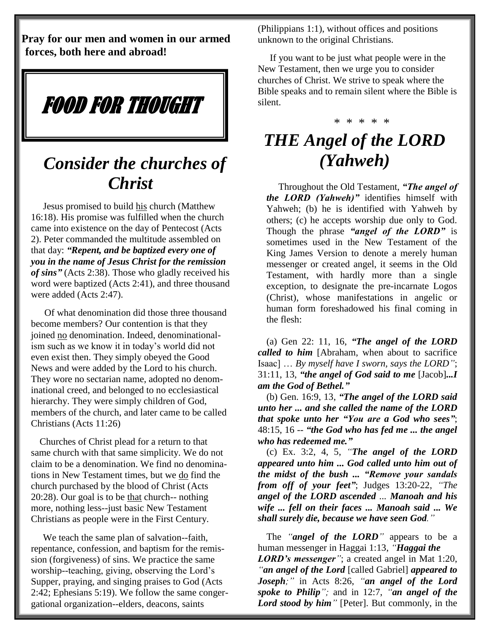**Pray for our men and women in our armed forces, both here and abroad!**

FOOD FOR THOUGHT

### *Consider the churches of Christ*

 Jesus promised to build his church (Matthew 16:18). His promise was fulfilled when the church came into existence on the day of Pentecost (Acts 2). Peter commanded the multitude assembled on that day: *"Repent, and be baptized every one of you in the name of Jesus Christ for the remission of sins"* (Acts 2:38). Those who gladly received his word were baptized (Acts 2:41), and three thousand were added (Acts 2:47).

 Of what denomination did those three thousand become members? Our contention is that they joined no denomination. Indeed, denominationalism such as we know it in today's world did not even exist then. They simply obeyed the Good News and were added by the Lord to his church. They wore no sectarian name, adopted no denominational creed, and belonged to no ecclesiastical hierarchy. They were simply children of God, members of the church, and later came to be called Christians (Acts 11:26)

Churches of Christ plead for a return to that same church with that same simplicity. We do not claim to be a denomination. We find no denominations in New Testament times, but we do find the church purchased by the blood of Christ (Acts 20:28). Our goal is to be that church-- nothing more, nothing less--just basic New Testament Christians as people were in the First Century.

 We teach the same plan of salvation--faith, repentance, confession, and baptism for the remission (forgiveness) of sins. We practice the same worship--teaching, giving, observing the Lord's Supper, praying, and singing praises to God (Acts 2:42; Ephesians 5:19). We follow the same congergational organization--elders, deacons, saints

(Philippians 1:1), without offices and positions unknown to the original Christians.

 If you want to be just what people were in the New Testament, then we urge you to consider churches of Christ. We strive to speak where the Bible speaks and to remain silent where the Bible is silent.

#### \* \* \* \* \*

## *THE Angel of the LORD (Yahweh)*

 Throughout the Old Testament, *"The angel of the LORD (Yahweh)"* identifies himself with Yahweh; (b) he is identified with Yahweh by others; (c) he accepts worship due only to God. Though the phrase *"angel of the LORD"* is sometimes used in the New Testament of the King James Version to denote a merely human messenger or created angel, it seems in the Old Testament, with hardly more than a single exception, to designate the pre-incarnate Logos (Christ), whose manifestations in angelic or human form foreshadowed his final coming in the flesh:

(a) Gen 22: 11, 16, *"The angel of the LORD called to him* [Abraham, when about to sacrifice Isaac] … *By myself have I sworn, says the LORD"*; 31:11, 13, *"the angel of God said to me* [Jacob]*...I am the God of Bethel."* 

(b) Gen. 16:9, 13, *"The angel of the LORD said unto her ... and she called the name of the LORD that spoke unto her "You are a God who sees"*; 48:15, 16 -- *"the God who has fed me ... the angel who has redeemed me."* 

(c) Ex. 3:2, 4, 5, *"The angel of the LORD appeared unto him ... God called unto him out of the midst of the bush ... "Remove your sandals from off of your feet"*; Judges 13:20-22, *"The angel of the LORD ascended ... Manoah and his wife ... fell on their faces ... Manoah said ... We shall surely die, because we have seen God."*

The *"angel of the LORD"* appears to be a human messenger in Haggai 1:13, *"Haggai the LORD's messenger"*; a created angel in Mat 1:20, *"an angel of the Lord* [called Gabriel] *appeared to Joseph;"* in Acts 8:26, *"an angel of the Lord spoke to Philip";* and in 12:7, *"an angel of the*  Lord stood by him<sup>"</sup> [Peter]. But commonly, in the